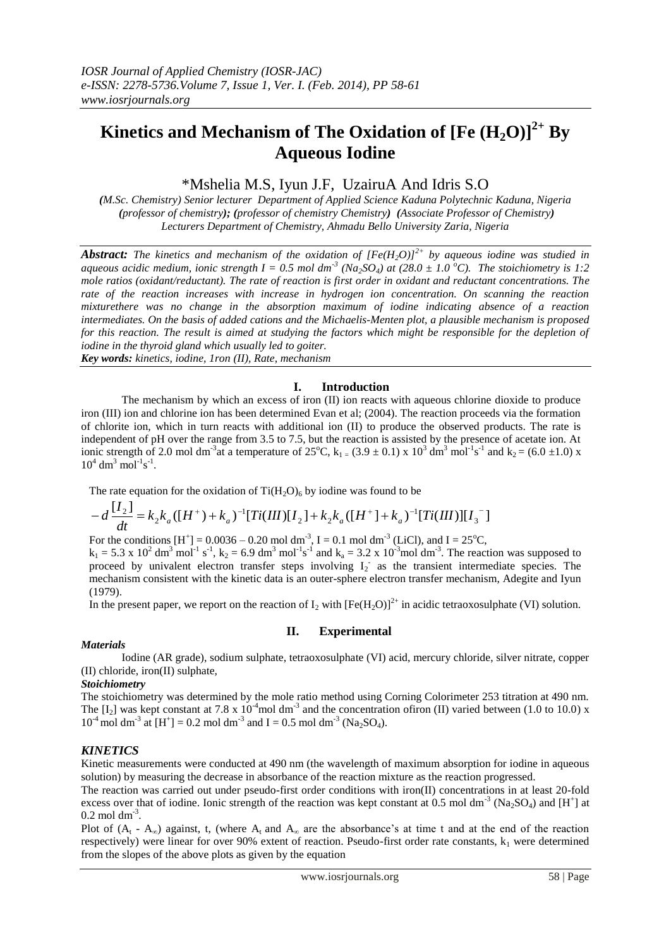# **Kinetics and Mechanism of The Oxidation of [Fe (H2O)]2+ By Aqueous Iodine**

## \*Mshelia M.S, Iyun J.F, UzairuA And Idris S.O

*(M.Sc. Chemistry) Senior lecturer Department of Applied Science Kaduna Polytechnic Kaduna, Nigeria (professor of chemistry); (professor of chemistry Chemistry) (Associate Professor of Chemistry) Lecturers Department of Chemistry, Ahmadu Bello University Zaria, Nigeria*

*Abstract: The kinetics and mechanism of the oxidation of*  $[Fe(H<sub>2</sub>O)]^{2+}$  *by aqueous iodine was studied in aqueous acidic medium, ionic strength*  $I = 0.5$  *mol dm<sup>-3</sup> (Na*<sub>2</sub>*SO*<sub>4</sub>) at (28.0  $\pm$  1.0<sup> $\degree$ </sup>C). The stoichiometry is 1:2 *mole ratios (oxidant/reductant). The rate of reaction is first order in oxidant and reductant concentrations. The rate of the reaction increases with increase in hydrogen ion concentration. On scanning the reaction mixturethere was no change in the absorption maximum of iodine indicating absence of a reaction intermediates. On the basis of added cations and the Michaelis-Menten plot, a plausible mechanism is proposed for this reaction. The result is aimed at studying the factors which might be responsible for the depletion of iodine in the thyroid gland which usually led to goiter.* 

*Key words: kinetics, iodine, 1ron (II), Rate, mechanism*

## **I. Introduction**

The mechanism by which an excess of iron (II) ion reacts with aqueous chlorine dioxide to produce iron (III) ion and chlorine ion has been determined Evan et al; (2004). The reaction proceeds via the formation of chlorite ion, which in turn reacts with additional ion (II) to produce the observed products. The rate is independent of pH over the range from 3.5 to 7.5, but the reaction is assisted by the presence of acetate ion. At ionic strength of 2.0 mol dm<sup>-3</sup> at a temperature of 25<sup>o</sup>C, k<sub>1</sub> = (3.9 ± 0.1) x 10<sup>3</sup> dm<sup>3</sup> mol<sup>-1</sup>s<sup>-1</sup> and k<sub>2</sub> = (6.0 ± 1.0) x  $10^4$  dm<sup>3</sup> mol<sup>-1</sup>s<sup>-1</sup>.

The rate equation for the oxidation of  $Ti(H_2O)_6$  by iodine was found to be

$$
-d\frac{[I_2]}{dt} = k_2 k_a ([H^+)+k_a)^{-1} [Ti(III)[I_2]+k_2 k_a ([H^+]+k_a)^{-1} [Ti(III)][I_3^-]
$$

For the conditions  $[H^+] = 0.0036 - 0.20$  mol dm<sup>-3</sup>, I = 0.1 mol dm<sup>-3</sup> (LiCl), and I = 25<sup>o</sup>C,

 $k_1 = 5.3 \times 10^2$  dm<sup>3</sup> mol<sup>-1</sup> s<sup>-1</sup>, k<sub>2</sub> = 6.9 dm<sup>3</sup> mol<sup>-1</sup>s<sup>-1</sup> and k<sub>a</sub> = 3.2 x 10<sup>-3</sup>mol dm<sup>-3</sup>. The reaction was supposed to proceed by univalent electron transfer steps involving  $I_2$  as the transient intermediate species. The mechanism consistent with the kinetic data is an outer-sphere electron transfer mechanism, Adegite and Iyun (1979).

In the present paper, we report on the reaction of  $I_2$  with  $[Fe(H_2O)]^{2+}$  in acidic tetraoxosulphate (VI) solution.

## **II. Experimental**

## *Materials*

Iodine (AR grade), sodium sulphate, tetraoxosulphate (VI) acid, mercury chloride, silver nitrate, copper (II) chloride, iron(II) sulphate,

## *Stoichiometry*

The stoichiometry was determined by the mole ratio method using Corning Colorimeter 253 titration at 490 nm. The  $[I_2]$  was kept constant at 7.8 x  $10^{-4}$ mol dm<sup>-3</sup> and the concentration ofiron (II) varied between (1.0 to 10.0) x  $10^{-4}$  mol dm<sup>-3</sup> at [H<sup>+</sup>] = 0.2 mol dm<sup>-3</sup> and I = 0.5 mol dm<sup>-3</sup> (Na<sub>2</sub>SO<sub>4</sub>).

## *KINETICS*

Kinetic measurements were conducted at 490 nm (the wavelength of maximum absorption for iodine in aqueous solution) by measuring the decrease in absorbance of the reaction mixture as the reaction progressed.

The reaction was carried out under pseudo-first order conditions with iron(II) concentrations in at least 20-fold excess over that of iodine. Ionic strength of the reaction was kept constant at 0.5 mol dm<sup>-3</sup> (Na<sub>2</sub>SO<sub>4</sub>) and [H<sup>+</sup>] at  $0.2 \text{ mol dm}^3$ .

Plot of  $(A_t - A_\infty)$  against, t, (where  $A_t$  and  $A_\infty$  are the absorbance's at time t and at the end of the reaction respectively) were linear for over 90% extent of reaction. Pseudo-first order rate constants,  $k_1$  were determined from the slopes of the above plots as given by the equation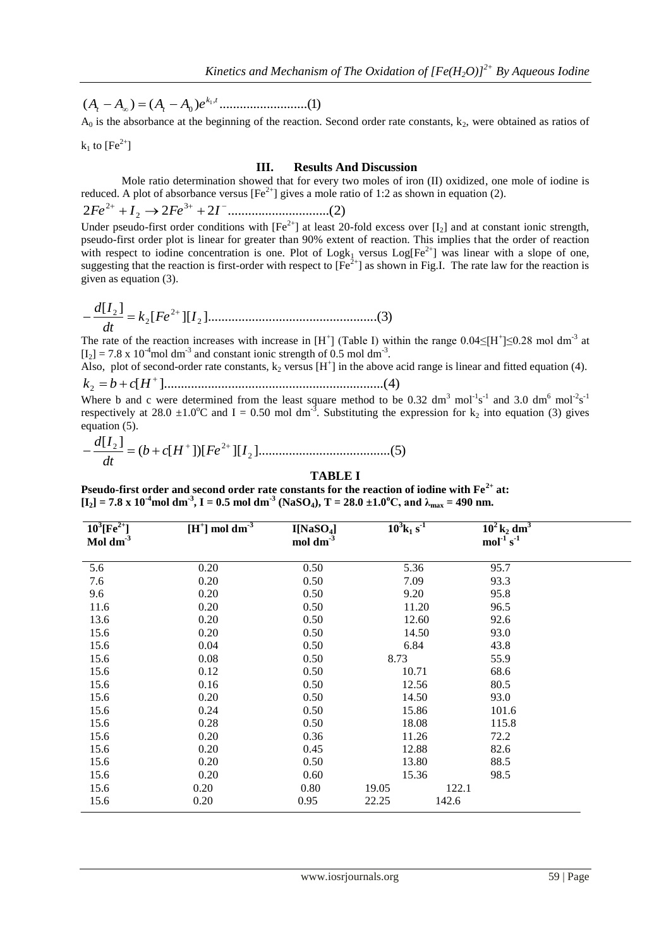( ) ( ) ..........................(1) ,  $(A_t - A_\infty) = (A_t - A_0)e^{k_1 t}$ 

 $A_0$  is the absorbance at the beginning of the reaction. Second order rate constants,  $k_2$ , were obtained as ratios of

 $k_1$  to  $[Fe^{2+}]$ 

#### **III. Results And Discussion**

Mole ratio determination showed that for every two moles of iron (II) oxidized, one mole of iodine is reduced. A plot of absorbance versus  $[Fe^{2+}]$  gives a mole ratio of 1:2 as shown in equation (2).

2 2 2 ..............................(2) 3  $Fe^{2+} + I_2 \rightarrow 2Fe^{3+} + 2I^-$ 

Under pseudo-first order conditions with  $[Fe^{2+}]$  at least 20-fold excess over  $[I_2]$  and at constant ionic strength, pseudo-first order plot is linear for greater than 90% extent of reaction. This implies that the order of reaction with respect to iodine concentration is one. Plot of  $Log k_1$  versus  $Log[Fe^{2+}]$  was linear with a slope of one, suggesting that the reaction is first-order with respect to  $[Fe^{2+}]$  as shown in Fig.I. The rate law for the reaction is given as equation (3).

[ ][ ]..................................................(3) [ ] 2 2 2 2 *k Fe I dt d I* 

The rate of the reaction increases with increase in  $[H^+]$  (Table I) within the range  $0.04 \leq [H^+] \leq 0.28$  mol dm<sup>-3</sup> at  $[I_2] = 7.8 \times 10^{-4}$  moldm<sup>-3</sup> and constant ionic strength of 0.5 moldm<sup>-3</sup>.

Also, plot of second-order rate constants,  $k_2$  versus  $[H^+]$  in the above acid range is linear and fitted equation (4).

[ ].................................................................(4) 2  $k_2 = b + c[H^+$ 

Where b and c were determined from the least square method to be 0.32 dm<sup>3</sup> mol<sup>-1</sup>s<sup>-1</sup> and 3.0 dm<sup>6</sup> mol<sup>-2</sup>s<sup>-1</sup> respectively at 28.0  $\pm 1.0^{\circ}$ C and I = 0.50 mol dm<sup>-3</sup>. Substituting the expression for k<sub>2</sub> into equation (3) gives equation (5).

( [ ])[ ][ ].......................................(5) [ ] 2 2 2 *b c H Fe I dt d I* 

### **TABLE I**

**Pseudo-first order and second order rate constants for the reaction of iodine with Fe2+ at:**  $[I_2] = 7.8 \times 10^{-4}$  mol dm<sup>-3</sup>, I = 0.5 mol dm<sup>-3</sup> (NaSO<sub>4</sub>), T = 28.0 ±1.0<sup>o</sup>C, and  $\lambda_{\text{max}} = 490$  nm.

| $10^3$ [Fe <sup>2+</sup> ] | $[H^+]$ mol $\overline{dm^3}$ | I[NaSO <sub>4</sub> ] | $10^3$ k <sub>1</sub> s <sup>1</sup> | $10^2$ k <sub>2</sub> dm <sup>3</sup> |  |
|----------------------------|-------------------------------|-----------------------|--------------------------------------|---------------------------------------|--|
| Mol dm $3$                 |                               | mol dm <sup>-3</sup>  |                                      | $mol$ <sup>-1</sup> s <sup>-1</sup>   |  |
| 5.6                        | 0.20                          | 0.50                  | 5.36                                 | 95.7                                  |  |
| 7.6                        | 0.20                          | 0.50                  | 7.09                                 | 93.3                                  |  |
| 9.6                        | 0.20                          | 0.50                  | 9.20                                 | 95.8                                  |  |
| 11.6                       | 0.20                          | 0.50                  | 11.20                                | 96.5                                  |  |
| 13.6                       | 0.20                          | 0.50                  | 12.60                                | 92.6                                  |  |
| 15.6                       | 0.20                          | 0.50                  | 14.50                                | 93.0                                  |  |
| 15.6                       | 0.04                          | 0.50                  | 6.84                                 | 43.8                                  |  |
| 15.6                       | 0.08                          | 0.50                  | 8.73                                 | 55.9                                  |  |
| 15.6                       | 0.12                          | 0.50                  | 10.71                                | 68.6                                  |  |
| 15.6                       | 0.16                          | 0.50                  | 12.56                                | 80.5                                  |  |
| 15.6                       | 0.20                          | 0.50                  | 14.50                                | 93.0                                  |  |
| 15.6                       | 0.24                          | 0.50                  | 15.86                                | 101.6                                 |  |
| 15.6                       | 0.28                          | 0.50                  | 18.08                                | 115.8                                 |  |
| 15.6                       | 0.20                          | 0.36                  | 11.26                                | 72.2                                  |  |
| 15.6                       | 0.20                          | 0.45                  | 12.88                                | 82.6                                  |  |
| 15.6                       | 0.20                          | 0.50                  | 13.80                                | 88.5                                  |  |
| 15.6                       | 0.20                          | 0.60                  | 15.36                                | 98.5                                  |  |
| 15.6                       | 0.20                          | 0.80                  | 19.05                                | 122.1                                 |  |
| 15.6                       | 0.20                          | 0.95                  | 22.25                                | 142.6                                 |  |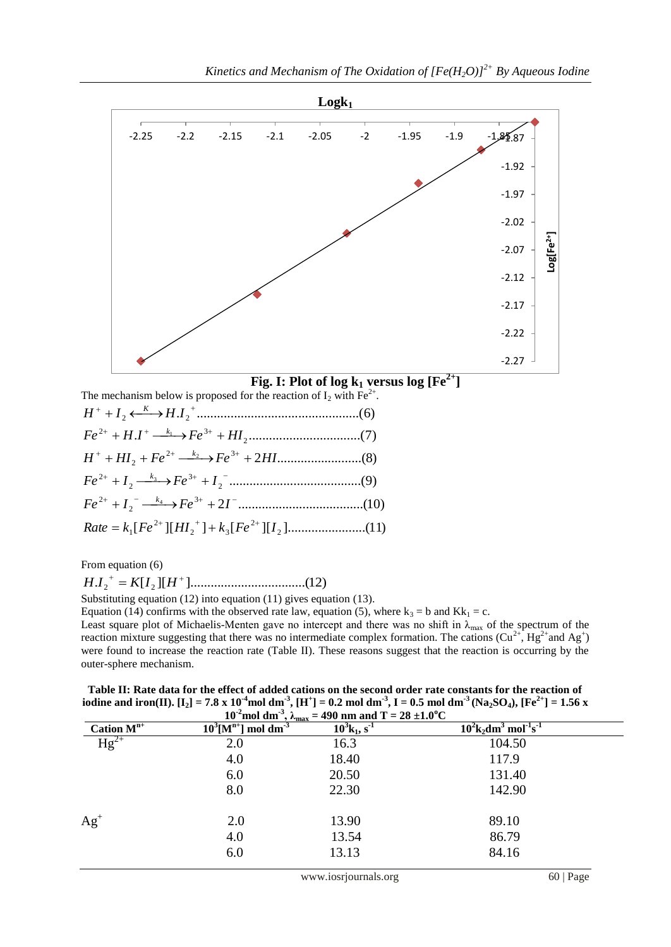

**Fig. I:** Plot of log  $k_1$  versus log  $[Fe^{2+}]$ 

The mechanism below is proposed for the reaction of  $I_2$  with Fe<sup>2+</sup>. [ ][ ] [ ][ ].......................(11) 2 2 .....................................(10) 3 .......................................(9) 2 2 .........................(8) 2 3 . .................................(7) 2 . ................................................(6) 2 2 *H I H I K* 2 2  $\frac{1}{2}$   $\sqrt{3}$ 2  $Rate = k_1[Fe^{2+}][H I_2^+] + k_3[Fe^{2+}][H]$ 2  $Fe^{2+} + I_2^- \longrightarrow Fe^{3+} + 2I^-$ 3 2  $Fe^{2+} + I_2 \xrightarrow{k_3} Fe^{3+} + I_2$  $H^+ + HI_2 + Fe^{2+} \longrightarrow Fe^{3+} + 2HI$  $Fe^{2+} + H.I^{+} \longrightarrow Fe^{3+} + HII$ 

From equation (6)

. [ ][ ]..................................(12) <sup>2</sup> <sup>2</sup> *H I K I H*

Substituting equation (12) into equation (11) gives equation (13).

Equation (14) confirms with the observed rate law, equation (5), where  $k_3 = b$  and  $Kk_1 = c$ . Least square plot of Michaelis-Menten gave no intercept and there was no shift in  $\lambda_{\text{max}}$  of the spectrum of the reaction mixture suggesting that there was no intermediate complex formation. The cations  $(Cu^{2+}, Hg^{2+}$ and Ag<sup>+</sup>) were found to increase the reaction rate (Table II). These reasons suggest that the reaction is occurring by the outer-sphere mechanism.

**Table II: Rate data for the effect of added cations on the second order rate constants for the reaction of**  iodine and iron(II). [I<sub>2</sub>] = 7.8 x 10<sup>-4</sup>mol dm<sup>-3</sup>, [H<sup>+</sup>] = 0.2 mol dm<sup>-3</sup>, I = 0.5 mol dm<sup>-3</sup> (Na<sub>2</sub>SO<sub>4</sub>), [Fe<sup>2+</sup>] = 1.56 x

| 10 <sup>-2</sup> mol dm <sup>-3</sup> , $\lambda_{\text{max}}$ = 490 nm and T = 28 ±1.0 <sup>o</sup> C |                                               |                                        |                                                                         |  |  |  |  |
|--------------------------------------------------------------------------------------------------------|-----------------------------------------------|----------------------------------------|-------------------------------------------------------------------------|--|--|--|--|
| Cation $M^{n+}$                                                                                        | $\overline{10^3[M^{n+}]}$ mol dm <sup>3</sup> | $10^3$ k <sub>1</sub> , s <sup>1</sup> | $10^2$ k <sub>2</sub> dm <sup>3</sup> mol <sup>-1</sup> s <sup>-1</sup> |  |  |  |  |
| $Hg^{2+}$                                                                                              | 2.0                                           | 16.3                                   | 104.50                                                                  |  |  |  |  |
|                                                                                                        | 4.0                                           | 18.40                                  | 117.9                                                                   |  |  |  |  |
|                                                                                                        | 6.0                                           | 20.50                                  | 131.40                                                                  |  |  |  |  |
|                                                                                                        | 8.0                                           | 22.30                                  | 142.90                                                                  |  |  |  |  |
| $Ag+$                                                                                                  | 2.0                                           | 13.90                                  | 89.10                                                                   |  |  |  |  |
|                                                                                                        | 4.0                                           | 13.54                                  | 86.79                                                                   |  |  |  |  |
|                                                                                                        | 6.0                                           | 13.13                                  | 84.16                                                                   |  |  |  |  |
|                                                                                                        |                                               |                                        |                                                                         |  |  |  |  |